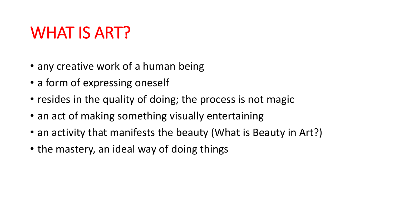## WHAT IS ART?

- any creative work of a human being
- a form of expressing oneself
- resides in the quality of doing; the process is not magic
- an act of making something visually entertaining
- an activity that manifests the beauty (What is Beauty in Art?)
- the mastery, an ideal way of doing things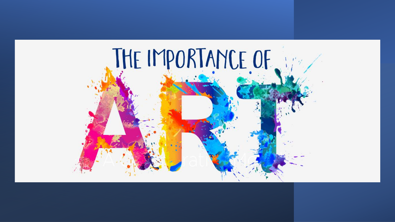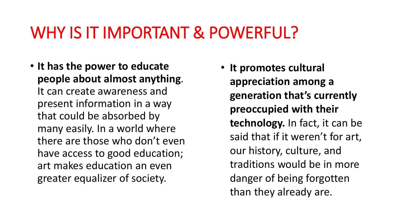### WHY IS IT IMPORTANT & POWERFUL?

• **It has the power to educate people about almost anything**. It can create awareness and present information in a way that could be absorbed by many easily. In a world where there are those who don't even have access to good education; art makes education an even greater equalizer of society.

• **It promotes cultural appreciation among a generation that's currently preoccupied with their technology.** In fact, it can be said that if it weren't for art, our history, culture, and traditions would be in more danger of being forgotten than they already are.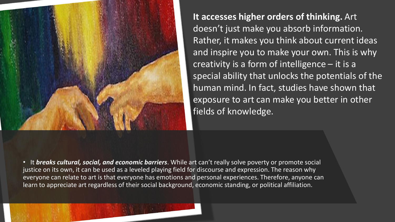

**It accesses higher orders of thinking.** Art doesn't just make you absorb information. Rather, it makes you think about current ideas and inspire you to make your own. This is why creativity is a form of intelligence – it is a special ability that unlocks the potentials of the human mind. In fact, studies have shown that exposure to art can make you better in other fields of knowledge.

• It *breaks cultural, social, and economic barriers*. While art can't really solve poverty or promote social justice on its own, it can be used as a leveled playing field for discourse and expression. The reason why everyone can relate to art is that everyone has emotions and personal experiences. Therefore, anyone can learn to appreciate art regardless of their social background, economic standing, or political affiliation.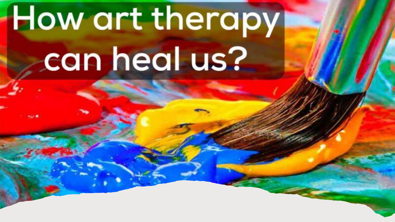# How art therapy can heal us?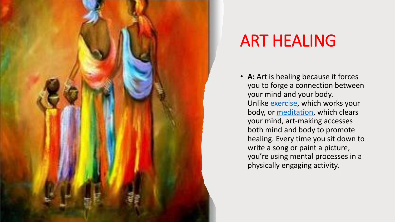

## ART HEALING

• **A:** Art is healing because it forces you to forge a connection between your mind and your body. Unlike [exercise,](https://www.henryford.com/blog/categories/movewell) which works your body, or [meditation,](https://www.henryford.com/blog/2017/02/meditation-tips) which clears your mind, art-making accesses both mind and body to promote healing. Every time you sit down to write a song or paint a picture, you're using mental processes in a physically engaging activity.